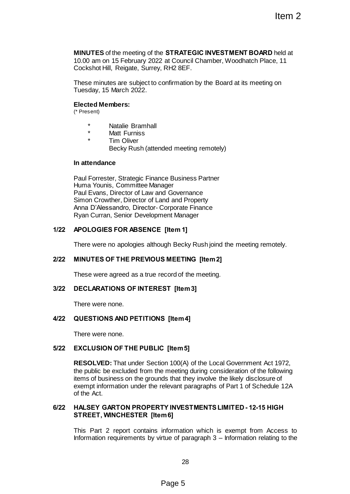## **MINUTES** of the meeting of the **STRATEGIC INVESTMENT BOARD** held at 10.00 am on 15 February 2022 at Council Chamber, Woodhatch Place, 11 Cockshot Hill, Reigate, Surrey, RH2 8EF.

These minutes are subject to confirmation by the Board at its meeting on Tuesday, 15 March 2022.

### **Elected Members:**

(\* Present)

- \* Natalie Bramhall
- Matt Furniss
- **Tim Oliver** 
	- Becky Rush (attended meeting remotely)

#### **In attendance**

Paul Forrester, Strategic Finance Business Partner Huma Younis, Committee Manager Paul Evans, Director of Law and Governance Simon Crowther, Director of Land and Property Anna D'Alessandro, Director- Corporate Finance Ryan Curran, Senior Development Manager

# **1/22 APOLOGIES FOR ABSENCE [Item 1]**

There were no apologies although Becky Rush joind the meeting remotely.

# **2/22 MINUTES OF THE PREVIOUS MEETING [Item 2]**

These were agreed as a true record of the meeting.

# **3/22 DECLARATIONS OF INTEREST [Item 3]**

There were none.

# **4/22 QUESTIONS AND PETITIONS [Item 4]**

There were none.

# **5/22 EXCLUSION OF THE PUBLIC [Item 5]**

**RESOLVED:** That under Section 100(A) of the Local Government Act 1972, the public be excluded from the meeting during consideration of the following items of business on the grounds that they involve the likely disclosure of exempt information under the relevant paragraphs of Part 1 of Schedule 12A of the Act. Item 2<br>
Item 2<br>
STRATEGIC INVESTMENT BOARD held at<br>
at Council Chamber, Woodhatch Place, 11<br>
net at Council Chamber, Woodhatch Place, 11<br>
and<br>
and meeting somewhere<br>
age<br>
ded meeting remotely)<br>
ce Business Partner<br>
of Gove

## **6/22 HALSEY GARTON PROPERTY INVESTMENTSLIMITED - 12-15 HIGH STREET, WINCHESTER [Item 6]**

This Part 2 report contains information which is exempt from Access to Information requirements by virtue of paragraph 3 – Information relating to the